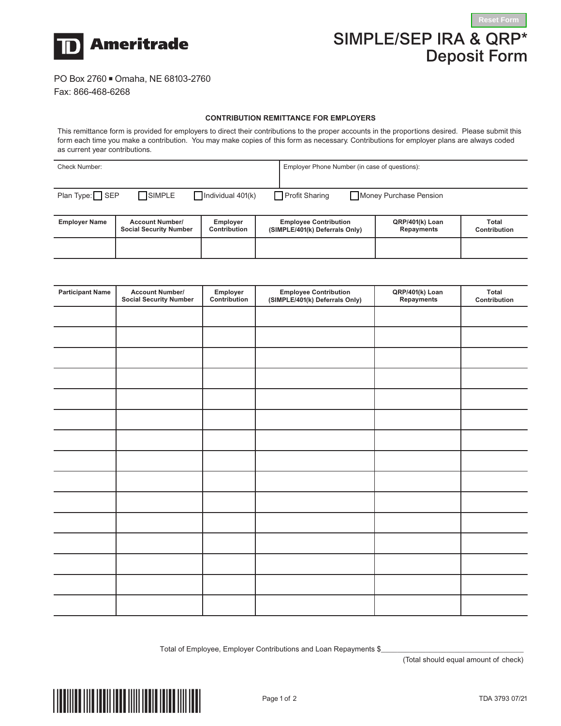

## SIMPLE/SEP IRA & QRP\* Deposit Form

## PO Box 2760 Omaha, NE 68103-2760

Fax: 866-468-6268

## **CONTRIBUTION REMITTANCE FOR EMPLOYERS**

This remittance form is provided for employers to direct their contributions to the proper accounts in the proportions desired. Please submit this form each time you make a contribution. You may make copies of this form as necessary. Contributions for employer plans are always coded as current year contributions.

| <b>Check Number:</b>                                                                                      |                                                         |                                 |  | Employer Phone Number (in case of questions):                  |                                      |                       |  |  |
|-----------------------------------------------------------------------------------------------------------|---------------------------------------------------------|---------------------------------|--|----------------------------------------------------------------|--------------------------------------|-----------------------|--|--|
|                                                                                                           |                                                         |                                 |  |                                                                |                                      |                       |  |  |
| Plan Type: $\Box$ SEP<br>SIMPLE<br><b>Profit Sharing</b><br>Individual $401(k)$<br>Money Purchase Pension |                                                         |                                 |  |                                                                |                                      |                       |  |  |
|                                                                                                           |                                                         |                                 |  |                                                                |                                      |                       |  |  |
| <b>Employer Name</b>                                                                                      | <b>Account Number/</b><br><b>Social Security Number</b> | <b>Employer</b><br>Contribution |  | <b>Employee Contribution</b><br>(SIMPLE/401(k) Deferrals Only) | QRP/401(k) Loan<br><b>Repayments</b> | Total<br>Contribution |  |  |
|                                                                                                           |                                                         |                                 |  |                                                                |                                      |                       |  |  |
|                                                                                                           |                                                         |                                 |  |                                                                |                                      |                       |  |  |

| <b>Participant Name</b> | <b>Account Number/</b><br><b>Social Security Number</b> | Employer<br>Contribution | <b>Employee Contribution</b><br>(SIMPLE/401(k) Deferrals Only) | QRP/401(k) Loan<br>Repayments | Total<br>Contribution |
|-------------------------|---------------------------------------------------------|--------------------------|----------------------------------------------------------------|-------------------------------|-----------------------|
|                         |                                                         |                          |                                                                |                               |                       |
|                         |                                                         |                          |                                                                |                               |                       |
|                         |                                                         |                          |                                                                |                               |                       |
|                         |                                                         |                          |                                                                |                               |                       |
|                         |                                                         |                          |                                                                |                               |                       |
|                         |                                                         |                          |                                                                |                               |                       |
|                         |                                                         |                          |                                                                |                               |                       |
|                         |                                                         |                          |                                                                |                               |                       |
|                         |                                                         |                          |                                                                |                               |                       |
|                         |                                                         |                          |                                                                |                               |                       |
|                         |                                                         |                          |                                                                |                               |                       |
|                         |                                                         |                          |                                                                |                               |                       |
|                         |                                                         |                          |                                                                |                               |                       |
|                         |                                                         |                          |                                                                |                               |                       |
|                         |                                                         |                          |                                                                |                               |                       |

Total of Employee, Employer Contributions and Loan Repayments \$

(Total should equal amount of check)